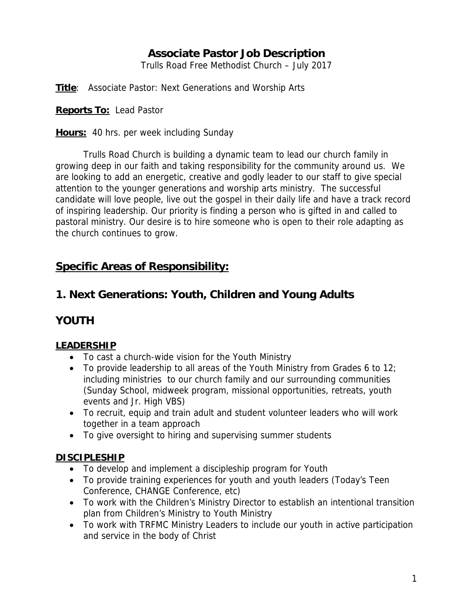## **Associate Pastor Job Description**

Trulls Road Free Methodist Church – July 2017

**Title**: Associate Pastor: Next Generations and Worship Arts

**Reports To:** Lead Pastor

**Hours:** 40 hrs. per week including Sunday

Trulls Road Church is building a dynamic team to lead our church family in growing deep in our faith and taking responsibility for the community around us. We are looking to add an energetic, creative and godly leader to our staff to give special attention to the younger generations and worship arts ministry. The successful candidate will love people, live out the gospel in their daily life and have a track record of inspiring leadership. Our priority is finding a person who is gifted in and called to pastoral ministry. Our desire is to hire someone who is open to their role adapting as the church continues to grow.

## **Specific Areas of Responsibility:**

## **1. Next Generations: Youth, Children and Young Adults**

### **YOUTH**

### **LEADERSHIP**

- To cast a church-wide vision for the Youth Ministry
- $\bullet$  To provide leadership to all areas of the Youth Ministry from Grades 6 to 12; including ministries to our church family and our surrounding communities (Sunday School, midweek program, missional opportunities, retreats, youth events and Jr. High VBS)
- To recruit, equip and train adult and student volunteer leaders who will work together in a team approach
- To give oversight to hiring and supervising summer students

### **DISCIPLESHIP**

- To develop and implement a discipleship program for Youth
- To provide training experiences for youth and youth leaders (Today's Teen Conference, CHANGE Conference, etc)
- To work with the Children's Ministry Director to establish an intentional transition plan from Children's Ministry to Youth Ministry
- To work with TRFMC Ministry Leaders to include our youth in active participation and service in the body of Christ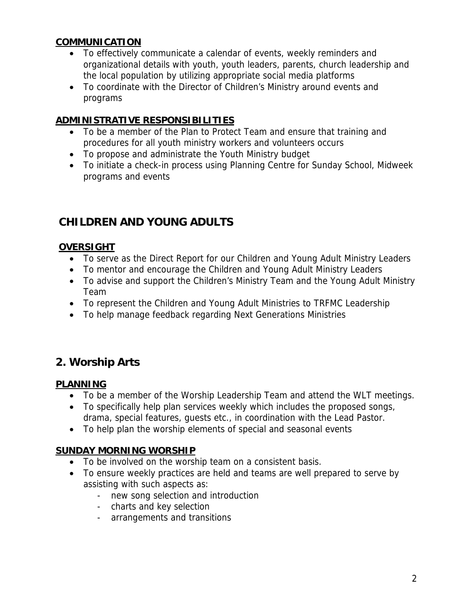#### **COMMUNICATION**

- To effectively communicate a calendar of events, weekly reminders and organizational details with youth, youth leaders, parents, church leadership and the local population by utilizing appropriate social media platforms
- To coordinate with the Director of Children's Ministry around events and programs

### **ADMINISTRATIVE RESPONSIBILITIES**

- To be a member of the Plan to Protect Team and ensure that training and procedures for all youth ministry workers and volunteers occurs
- To propose and administrate the Youth Ministry budget
- To initiate a check-in process using Planning Centre for Sunday School, Midweek programs and events

# **CHILDREN AND YOUNG ADULTS**

### **OVERSIGHT**

- To serve as the Direct Report for our Children and Young Adult Ministry Leaders
- To mentor and encourage the Children and Young Adult Ministry Leaders
- To advise and support the Children's Ministry Team and the Young Adult Ministry Team
- To represent the Children and Young Adult Ministries to TRFMC Leadership
- To help manage feedback regarding Next Generations Ministries

## **2. Worship Arts**

#### **PLANNING**

- To be a member of the Worship Leadership Team and attend the WLT meetings.
- To specifically help plan services weekly which includes the proposed songs, drama, special features, guests etc., in coordination with the Lead Pastor.
- To help plan the worship elements of special and seasonal events

### **SUNDAY MORNING WORSHIP**

- To be involved on the worship team on a consistent basis.
- To ensure weekly practices are held and teams are well prepared to serve by assisting with such aspects as:
	- new song selection and introduction
	- charts and key selection
	- arrangements and transitions